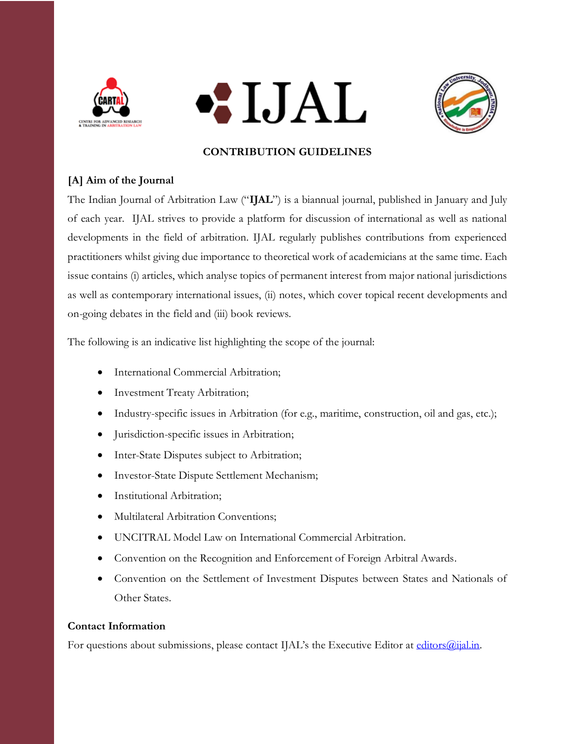





#### **CONTRIBUTION GUIDELINES**

# **[A] Aim of the Journal**

The Indian Journal of Arbitration Law ("**IJAL**") is a biannual journal, published in January and July of each year. IJAL strives to provide a platform for discussion of international as well as national developments in the field of arbitration. IJAL regularly publishes contributions from experienced practitioners whilst giving due importance to theoretical work of academicians at the same time. Each issue contains (i) articles, which analyse topics of permanent interest from major national jurisdictions as well as contemporary international issues, (ii) notes, which cover topical recent developments and on-going debates in the field and (iii) book reviews.

The following is an indicative list highlighting the scope of the journal:

- International Commercial Arbitration;
- Investment Treaty Arbitration;
- Industry-specific issues in Arbitration (for e.g., maritime, construction, oil and gas, etc.);
- Jurisdiction-specific issues in Arbitration;
- Inter-State Disputes subject to Arbitration;
- Investor-State Dispute Settlement Mechanism;
- Institutional Arbitration;
- Multilateral Arbitration Conventions;
- UNCITRAL Model Law on International Commercial Arbitration.
- Convention on the Recognition and Enforcement of Foreign Arbitral Awards.
- Convention on the Settlement of Investment Disputes between States and Nationals of Other States.

## **Contact Information**

For questions about submissions, please contact IJAL's the Executive Editor at [editors@ijal.in.](mailto:editors@ijal.in)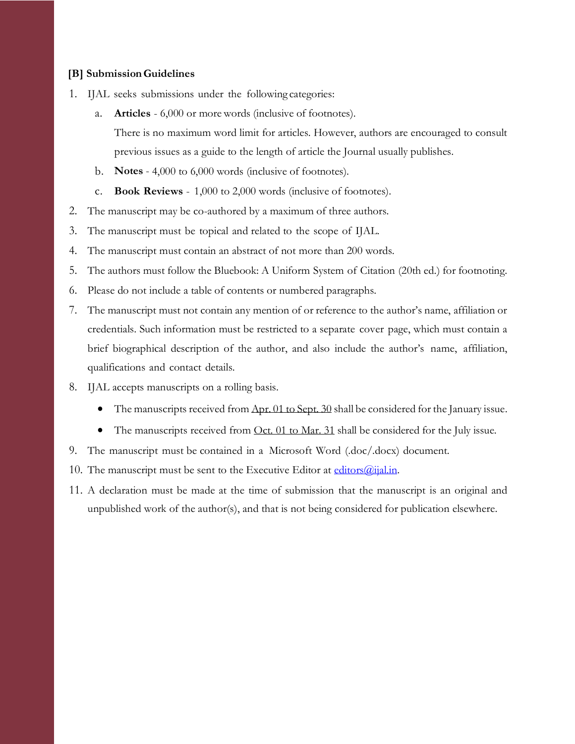#### **[B] SubmissionGuidelines**

- 1. IJAL seeks submissions under the following categories:
	- a. **Articles** 6,000 or more words (inclusive of footnotes). There is no maximum word limit for articles. However, authors are encouraged to consult previous issues as a guide to the length of article the Journal usually publishes.
	- b. **Notes** 4,000 to 6,000 words (inclusive of footnotes).
	- c. **Book Reviews** 1,000 to 2,000 words (inclusive of footnotes).
- 2. The manuscript may be co-authored by a maximum of three authors.
- 3. The manuscript must be topical and related to the scope of IJAL.
- 4. The manuscript must contain an abstract of not more than 200 words.
- 5. The authors must follow the Bluebook: A Uniform System of Citation (20th ed.) for footnoting.
- 6. Please do not include a table of contents or numbered paragraphs.
- 7. The manuscript must not contain any mention of or reference to the author's name, affiliation or credentials. Such information must be restricted to a separate cover page, which must contain a brief biographical description of the author, and also include the author's name, affiliation, qualifications and contact details.
- 8. IJAL accepts manuscripts on a rolling basis.
	- The manuscripts received from Apr. 01 to Sept. 30 shall be considered for the January issue.
	- The manuscripts received from Oct. 01 to Mar. 31 shall be considered for the July issue.
- 9. The manuscript must be contained in a Microsoft Word (.doc/.docx) document.
- 10. The manuscript must be sent to the Executive Editor at editors  $\omega$  ijal.in.
- 11. A declaration must be made at the time of submission that the manuscript is an original and unpublished work of the author(s), and that is not being considered for publication elsewhere.